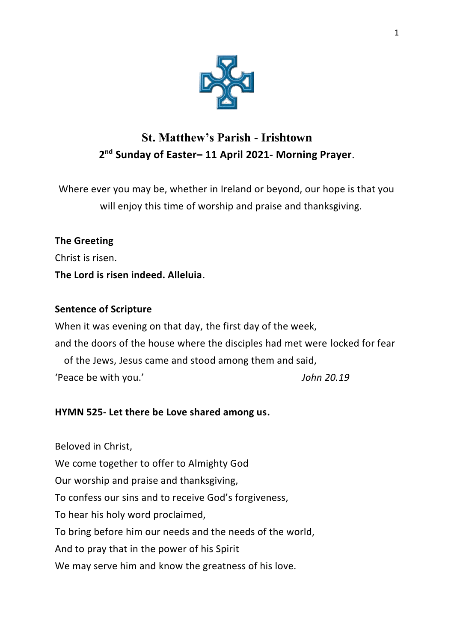

# **St. Matthew's Parish - Irishtown 2 nd Sunday of Easter– 11 April 2021- Morning Prayer**.

Where ever you may be, whether in Ireland or beyond, our hope is that you will enjoy this time of worship and praise and thanksgiving.

# **The Greeting**

Christ is risen.

# **The Lord is risen indeed. Alleluia**.

# **Sentence of Scripture**

When it was evening on that day, the first day of the week, and the doors of the house where the disciples had met were locked for fear of the Jews, Jesus came and stood among them and said, 'Peace be with you.' *John 20.19*

# **HYMN 525- Let there be Love shared among us.**

Beloved in Christ, We come together to offer to Almighty God Our worship and praise and thanksgiving, To confess our sins and to receive God's forgiveness, To hear his holy word proclaimed, To bring before him our needs and the needs of the world, And to pray that in the power of his Spirit We may serve him and know the greatness of his love.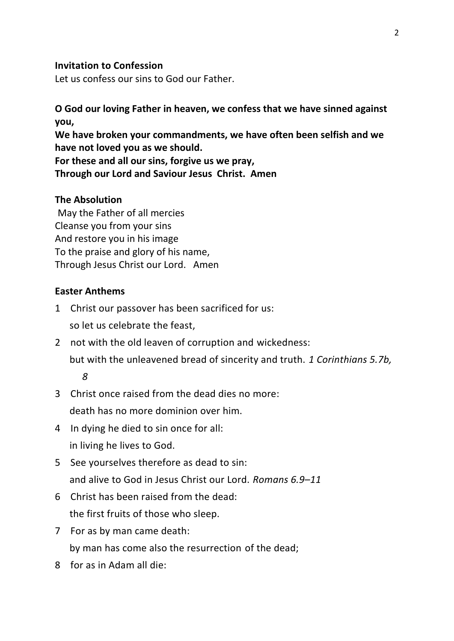## **Invitation to Confession**

Let us confess our sins to God our Father.

**O God our loving Father in heaven, we confess that we have sinned against you, We have broken your commandments, we have often been selfish and we have not loved you as we should. For these and all our sins, forgive us we pray, Through our Lord and Saviour Jesus Christ. Amen**

### **The Absolution**

May the Father of all mercies Cleanse you from your sins And restore you in his image To the praise and glory of his name, Through Jesus Christ our Lord. Amen

#### **Easter Anthems**

- 1 Christ our passover has been sacrificed for us: so let us celebrate the feast,
- 2 not with the old leaven of corruption and wickedness: but with the unleavened bread of sincerity and truth. *1 Corinthians 5.7b, 8*
- 3 Christ once raised from the dead dies no more: death has no more dominion over him.
- 4 In dying he died to sin once for all: in living he lives to God.
- 5 See yourselves therefore as dead to sin: and alive to God in Jesus Christ our Lord. *Romans 6.9–11*
- 6 Christ has been raised from the dead: the first fruits of those who sleep.
- 7 For as by man came death: by man has come also the resurrection of the dead;
- 8 for as in Adam all die: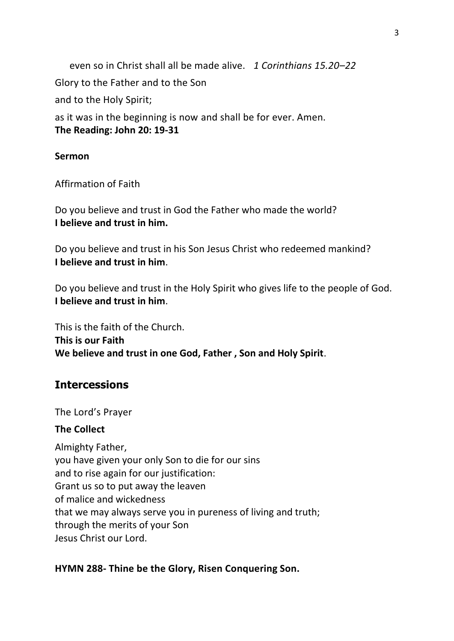even so in Christ shall all be made alive. *1 Corinthians 15.20–22* Glory to the Father and to the Son and to the Holy Spirit; as it was in the beginning is now and shall be for ever. Amen. **The Reading: John 20: 19-31**

### **Sermon**

Affirmation of Faith

Do you believe and trust in God the Father who made the world? **I believe and trust in him.**

Do you believe and trust in his Son Jesus Christ who redeemed mankind? **I believe and trust in him**.

Do you believe and trust in the Holy Spirit who gives life to the people of God. **I believe and trust in him**.

This is the faith of the Church. **This is our Faith We believe and trust in one God, Father , Son and Holy Spirit**.

# **Intercessions**

The Lord's Prayer

### **The Collect**

Almighty Father, you have given your only Son to die for our sins and to rise again for our justification: Grant us so to put away the leaven of malice and wickedness that we may always serve you in pureness of living and truth; through the merits of your Son Jesus Christ our Lord.

### **HYMN 288- Thine be the Glory, Risen Conquering Son.**